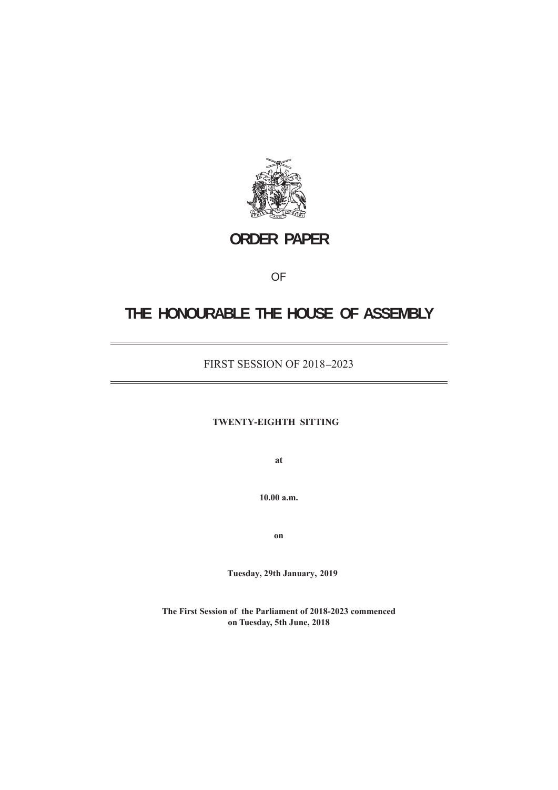

# **ORDER PAPER**

## OF

# **THE HONOURABLE THE HOUSE OF ASSEMBLY**

## FIRST SESSION OF 2018 **–**2023

## **TWENTY-EIGHTH SITTING**

**at**

**10.00 a.m.**

**on**

**Tuesday, 29th January,  2019**

**The First Session of the Parliament of 2018-2023 commenced on Tuesday, 5th June, 2018**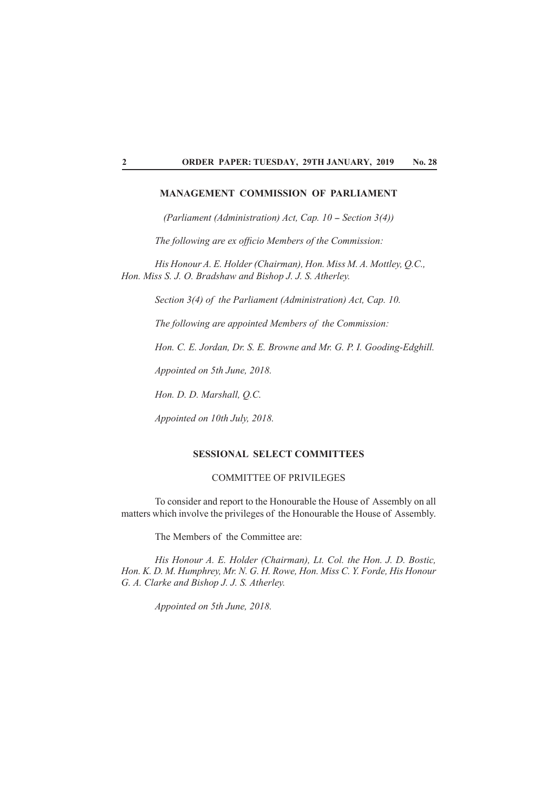### **MANAGEMENT COMMISSION OF PARLIAMENT**

*(Parliament (Administration) Act, Cap. 10 – Section 3(4))* 

*The following are ex officio Members of the Commission:* 

*His Honour A. E. Holder (Chairman), Hon. Miss M. A. Mottley, Q.C., Hon. Miss S. J. O. Bradshaw and Bishop J. J. S. Atherley.* 

*Section 3(4) of the Parliament (Administration) Act, Cap. 10.*

*The following are appointed Members of the Commission:*

*Hon. C. E. Jordan, Dr. S. E. Browne and Mr. G. P. I. Gooding-Edghill.*

*Appointed on 5th June, 2018.*

*Hon. D. D. Marshall, Q.C.*

*Appointed on 10th July, 2018.*

### **SESSIONAL SELECT COMMITTEES**

## COMMITTEE OF PRIVILEGES

To consider and report to the Honourable the House of Assembly on all matters which involve the privileges of the Honourable the House of Assembly.

The Members of the Committee are:

*His Honour A. E. Holder (Chairman), Lt. Col. the Hon. J. D. Bostic, Hon. K. D. M. Humphrey, Mr. N. G. H. Rowe, Hon. Miss C. Y. Forde, His Honour G. A. Clarke and Bishop J. J. S. Atherley.*

*Appointed on 5th June, 2018.*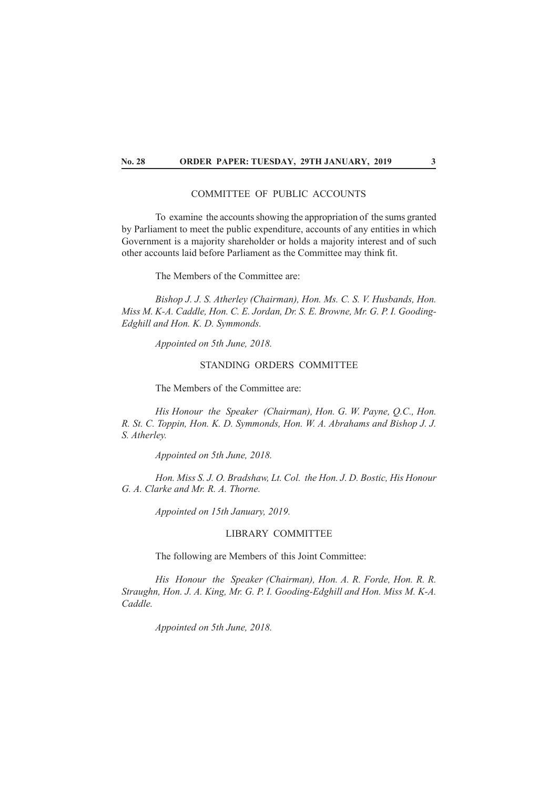## COMMITTEE OF PUBLIC ACCOUNTS

To examine the accounts showing the appropriation of the sums granted by Parliament to meet the public expenditure, accounts of any entities in which Government is a majority shareholder or holds a majority interest and of such other accounts laid before Parliament as the Committee may think fit.

The Members of the Committee are:

*Bishop J. J. S. Atherley (Chairman), Hon. Ms. C. S. V. Husbands, Hon. Miss M. K-A. Caddle, Hon. C. E. Jordan, Dr. S. E. Browne, Mr. G. P. I. Gooding-Edghill and Hon. K. D. Symmonds.*

*Appointed on 5th June, 2018.*

#### STANDING ORDERS COMMITTEE

The Members of the Committee are:

*His Honour the Speaker (Chairman), Hon. G. W. Payne, O.C., Hon. R. St. C. Toppin, Hon. K. D. Symmonds, Hon. W. A. Abrahams and Bishop J. J. S. Atherley.*

*Appointed on 5th June, 2018.*

*Hon. Miss S. J. O. Bradshaw, Lt. Col. the Hon. J. D. Bostic, His Honour G. A. Clarke and Mr. R. A. Thorne.*

*Appointed on 15th January, 2019.*

## LIBRARY COMMITTEE

The following are Members of this Joint Committee:

*His Honour the Speaker (Chairman), Hon. A. R. Forde, Hon. R. R. Straughn, Hon. J. A. King, Mr. G. P. I. Gooding-Edghill and Hon. Miss M. K-A. Caddle.*

*Appointed on 5th June, 2018.*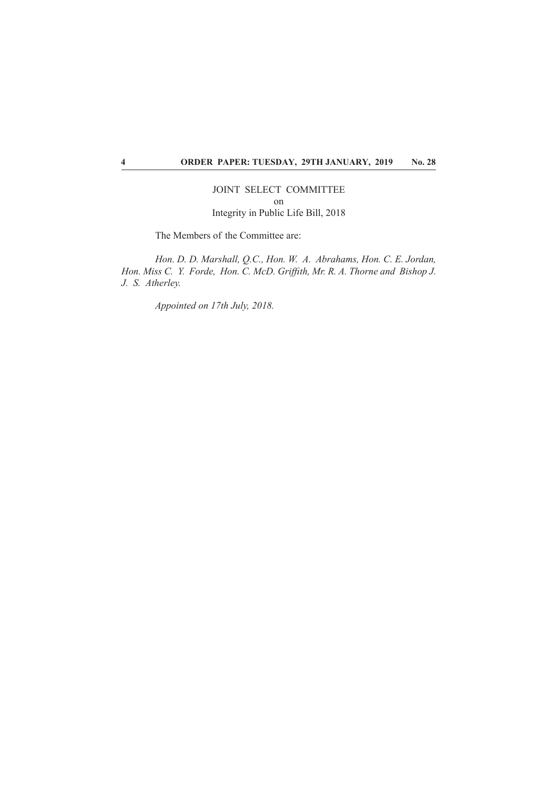## JOINT SELECT COMMITTEE on Integrity in Public Life Bill, 2018

The Members of the Committee are:

*Hon. D. D. Marshall, Q.C., Hon. W. A. Abrahams, Hon. C. E. Jordan, Hon. Miss C. Y. Forde, Hon. C. McD. Griffith, Mr. R. A. Thorne and Bishop J. J. S. Atherley.*

*Appointed on 17th July, 2018.*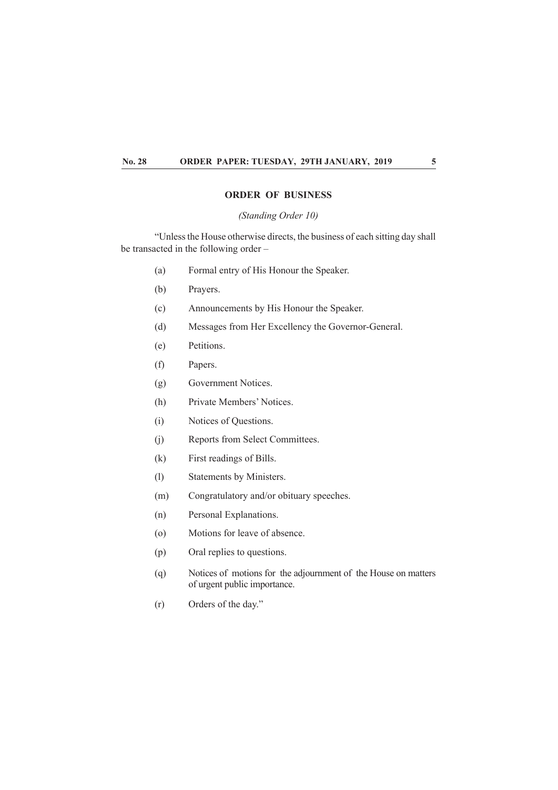## **ORDER OF BUSINESS**

*(Standing Order 10)*

"Unless the House otherwise directs, the business of each sitting day shall be transacted in the following order –

- (a) Formal entry of His Honour the Speaker.
- (b) Prayers.
- (c) Announcements by His Honour the Speaker.
- (d) Messages from Her Excellency the Governor-General.
- (e) Petitions.
- (f) Papers.
- (g) Government Notices.
- (h) Private Members' Notices.
- (i) Notices of Questions.
- (j) Reports from Select Committees.
- (k) First readings of Bills.
- (l) Statements by Ministers.
- (m) Congratulatory and/or obituary speeches.
- (n) Personal Explanations.
- (o) Motions for leave of absence.
- (p) Oral replies to questions.
- (q) Notices of motions for the adjournment of the House on matters of urgent public importance.
- (r) Orders of the day."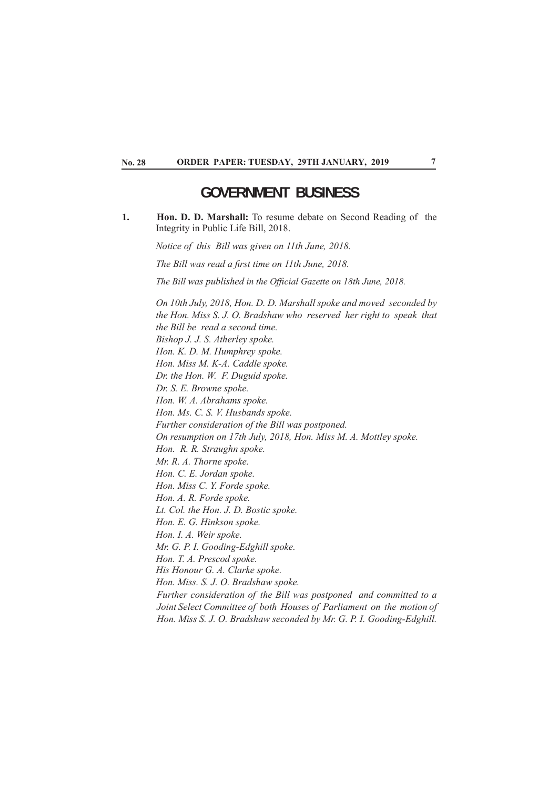## **GOVERNMENT BUSINESS**

**1**. **1. Hon. D. D. Marshall:** To resume debate on Second Reading of the Integrity in Public Life Bill, 2018.

*Notice of this Bill was given on 11th June, 2018.*

*The Bill was read a first time on 11th June, 2018.* 

*The Bill was published in the Offi cial Gazette on 18th June, 2018.*

*On 10th July, 2018, Hon. D. D. Marshall spoke and moved seconded by the Hon. Miss S. J. O. Bradshaw who reserved her right to speak that the Bill be read a second time. Bishop J. J. S. Atherley spoke. Hon. K. D. M. Humphrey spoke. Hon. Miss M. K-A. Caddle spoke. Dr. the Hon. W. F. Duguid spoke. Dr. S. E. Browne spoke. Hon. W. A. Abrahams spoke. Hon. Ms. C. S. V. Husbands spoke. Further consideration of the Bill was postponed. On resumption on 17th July, 2018, Hon. Miss M. A. Mottley spoke. Hon. R. R. Straughn spoke. Mr. R. A. Thorne spoke. Hon. C. E. Jordan spoke. Hon. Miss C. Y. Forde spoke. Hon. A. R. Forde spoke. Lt. Col. the Hon. J. D. Bostic spoke. Hon. E. G. Hinkson spoke. Hon. I. A. Weir spoke. Mr. G. P. I. Gooding-Edghill spoke. Hon. T. A. Prescod spoke. His Honour G. A. Clarke spoke. Hon. Miss. S. J. O. Bradshaw spoke. Further consideration of the Bill was postponed and committed to a Joint Select Committee of both Houses of Parliament on the motion of Hon. Miss S. J. O. Bradshaw seconded by Mr. G. P. I. Gooding-Edghill.*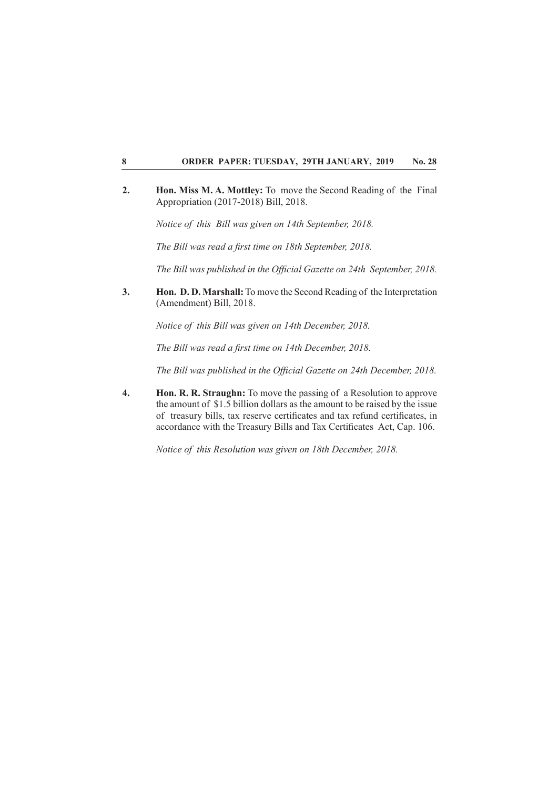**2. Hon. Miss M. A. Mottley:** To move the Second Reading of the Final Appropriation (2017-2018) Bill, 2018.

*Notice of this Bill was given on 14th September, 2018.*

*The Bill was read a first time on 18th September, 2018.* 

*The Bill was published in the Offi cial Gazette on 24th September, 2018.*

**3. Hon. D. D. Marshall:** To move the Second Reading of the Interpretation (Amendment) Bill, 2018.

*Notice of this Bill was given on 14th December, 2018.*

*The Bill was read a first time on 14th December, 2018.* 

*The Bill was published in the Offi cial Gazette on 24th December, 2018.*

**4. Hon. R. R. Straughn:** To move the passing of a Resolution to approve the amount of \$1.5 billion dollars as the amount to be raised by the issue of treasury bills, tax reserve certificates and tax refund certificates, in accordance with the Treasury Bills and Tax Certificates Act, Cap. 106.

*Notice of this Resolution was given on 18th December, 2018.*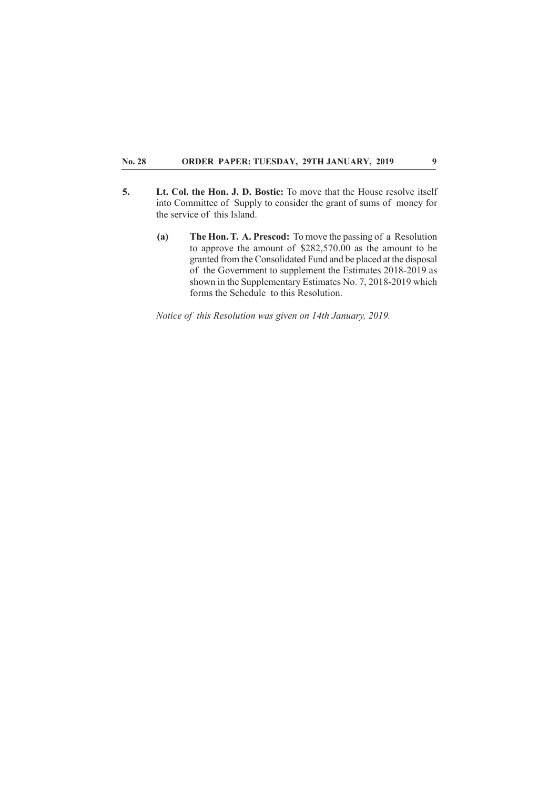- **5. Lt. Col. the Hon. J. D. Bostic:** To move that the House resolve itself into Committee of Supply to consider the grant of sums of money for the service of this Island.
	- **(a) The Hon. T. A. Prescod:** To move the passing of a Resolution to approve the amount of \$282,570.00 as the amount to be granted from the Consolidated Fund and be placed at the disposal of the Government to supplement the Estimates 2018-2019 as shown in the Supplementary Estimates No. 7, 2018-2019 which forms the Schedule to this Resolution.

*Notice of this Resolution was given on 14th January, 2019.*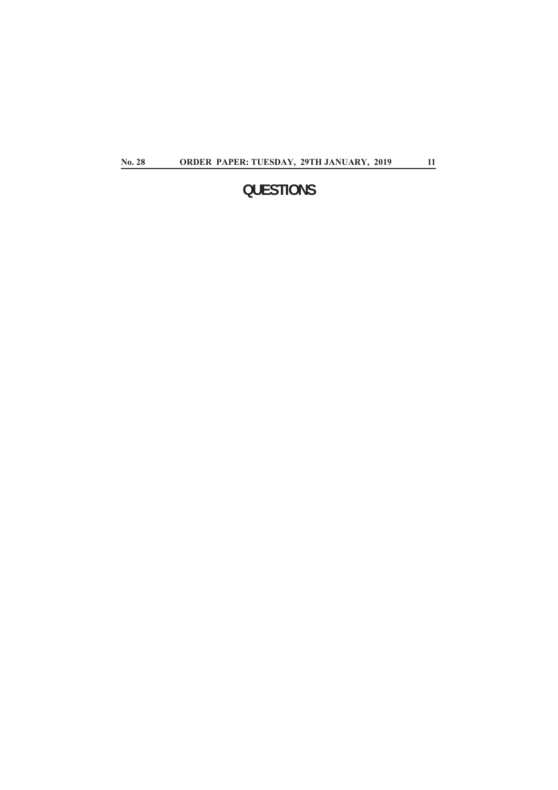# **QUESTIONS**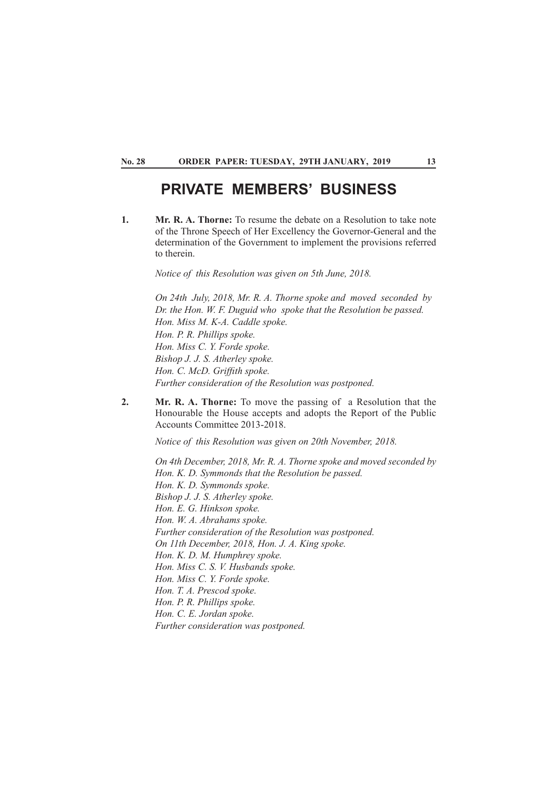## **PRIVATE MEMBERS' BUSINESS**

**1. Mr. R. A. Thorne:** To resume the debate on a Resolution to take note of the Throne Speech of Her Excellency the Governor-General and the determination of the Government to implement the provisions referred to therein.

*Notice of this Resolution was given on 5th June, 2018.*

*On 24th July, 2018, Mr. R. A. Thorne spoke and moved seconded by Dr. the Hon. W. F. Duguid who spoke that the Resolution be passed. Hon. Miss M. K-A. Caddle spoke. Hon. P. R. Phillips spoke. Hon. Miss C. Y. Forde spoke. Bishop J. J. S. Atherley spoke. Hon. C. McD. Griffith spoke. Further consideration of the Resolution was postponed.*

**2. Mr. R. A. Thorne:** To move the passing of a Resolution that the Honourable the House accepts and adopts the Report of the Public Accounts Committee 2013-2018.

*Notice of this Resolution was given on 20th November, 2018.*

*On 4th December, 2018, Mr. R. A. Thorne spoke and moved seconded by Hon. K. D. Symmonds that the Resolution be passed. Hon. K. D. Symmonds spoke. Bishop J. J. S. Atherley spoke. Hon. E. G. Hinkson spoke. Hon. W. A. Abrahams spoke. Further consideration of the Resolution was postponed. On 11th December, 2018, Hon. J. A. King spoke. Hon. K. D. M. Humphrey spoke. Hon. Miss C. S. V. Husbands spoke. Hon. Miss C. Y. Forde spoke. Hon. T. A. Prescod spoke. Hon. P. R. Phillips spoke. Hon. C. E. Jordan spoke. Further consideration was postponed.*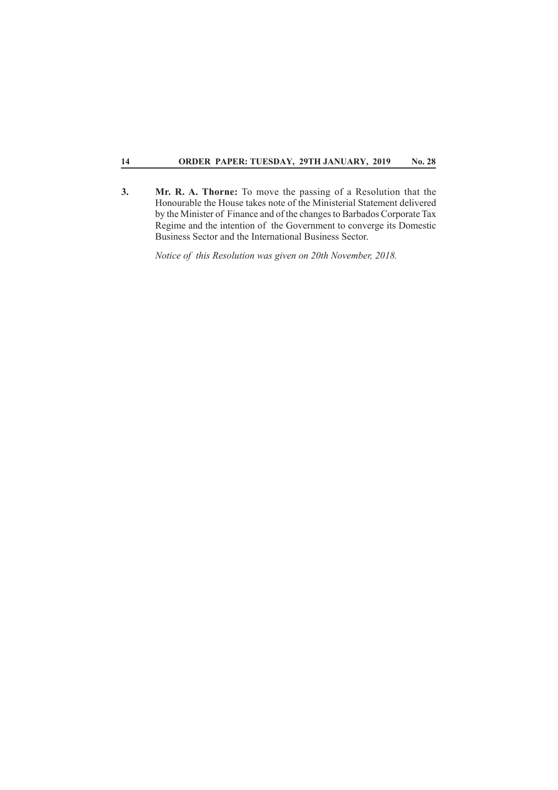**3. Mr. R. A. Thorne:** To move the passing of a Resolution that the Honourable the House takes note of the Ministerial Statement delivered by the Minister of Finance and of the changes to Barbados Corporate Tax Regime and the intention of the Government to converge its Domestic Business Sector and the International Business Sector.

*Notice of this Resolution was given on 20th November, 2018.*